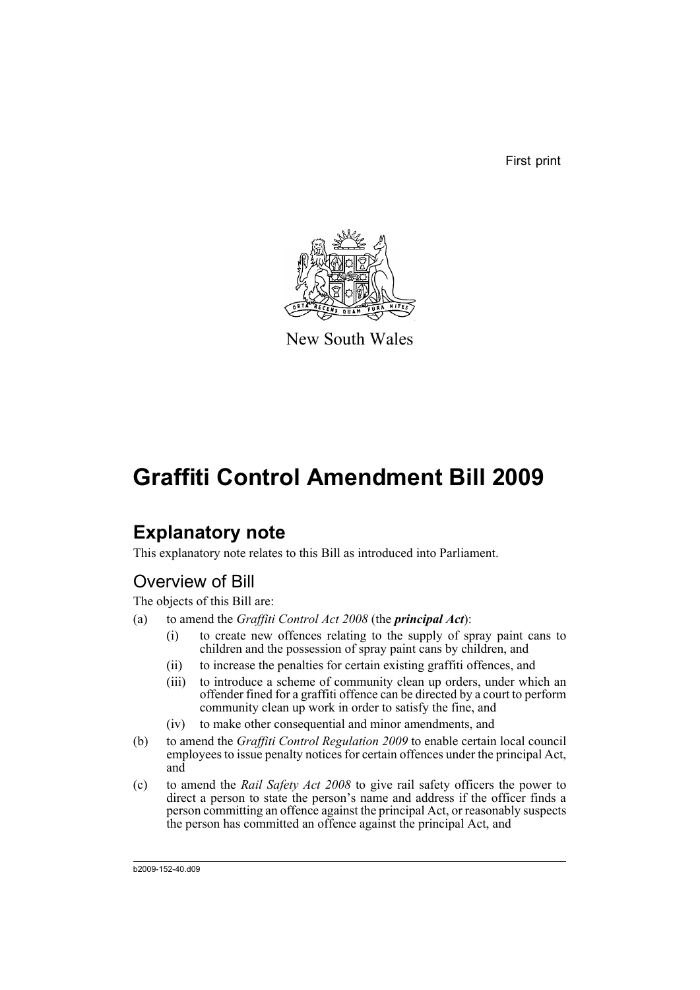First print



New South Wales

# **Graffiti Control Amendment Bill 2009**

# **Explanatory note**

This explanatory note relates to this Bill as introduced into Parliament.

# Overview of Bill

The objects of this Bill are:

- (a) to amend the *Graffiti Control Act 2008* (the *principal Act*):
	- (i) to create new offences relating to the supply of spray paint cans to children and the possession of spray paint cans by children, and
	- (ii) to increase the penalties for certain existing graffiti offences, and
	- (iii) to introduce a scheme of community clean up orders, under which an offender fined for a graffiti offence can be directed by a court to perform community clean up work in order to satisfy the fine, and
	- (iv) to make other consequential and minor amendments, and
- (b) to amend the *Graffiti Control Regulation 2009* to enable certain local council employees to issue penalty notices for certain offences under the principal Act, and
- (c) to amend the *Rail Safety Act 2008* to give rail safety officers the power to direct a person to state the person's name and address if the officer finds a person committing an offence against the principal Act, or reasonably suspects the person has committed an offence against the principal Act, and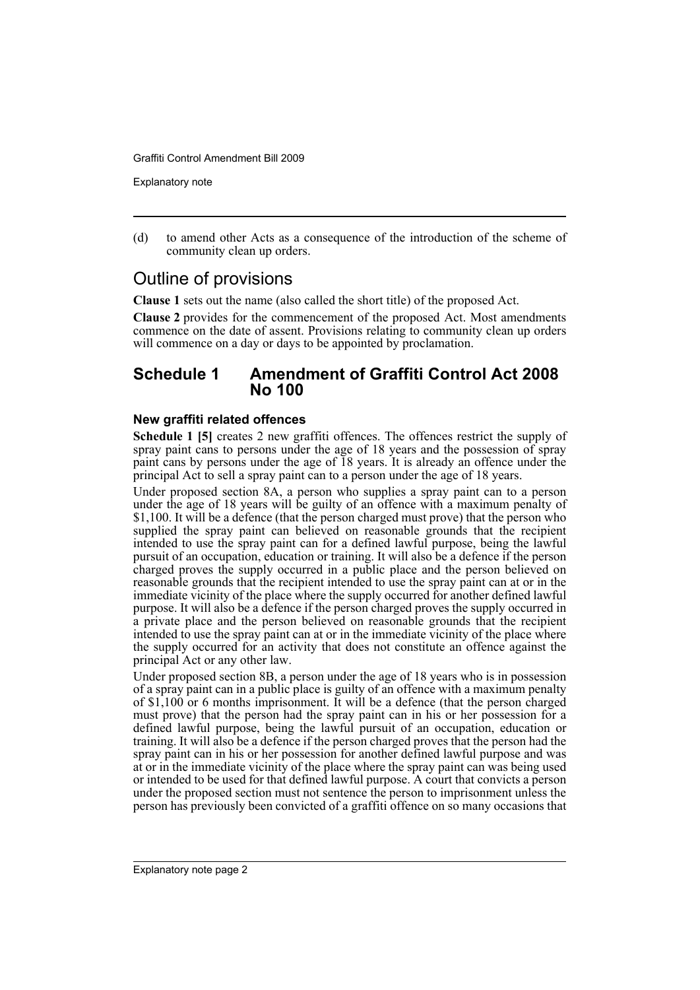Explanatory note

(d) to amend other Acts as a consequence of the introduction of the scheme of community clean up orders.

# Outline of provisions

**Clause 1** sets out the name (also called the short title) of the proposed Act.

**Clause 2** provides for the commencement of the proposed Act. Most amendments commence on the date of assent. Provisions relating to community clean up orders will commence on a day or days to be appointed by proclamation.

# **Schedule 1 Amendment of Graffiti Control Act 2008 No 100**

# **New graffiti related offences**

**Schedule 1 [5]** creates 2 new graffiti offences. The offences restrict the supply of spray paint cans to persons under the age of 18 years and the possession of spray paint cans by persons under the age of 18 years. It is already an offence under the principal Act to sell a spray paint can to a person under the age of 18 years.

Under proposed section 8A, a person who supplies a spray paint can to a person under the age of 18 years will be guilty of an offence with a maximum penalty of \$1,100. It will be a defence (that the person charged must prove) that the person who supplied the spray paint can believed on reasonable grounds that the recipient intended to use the spray paint can for a defined lawful purpose, being the lawful pursuit of an occupation, education or training. It will also be a defence if the person charged proves the supply occurred in a public place and the person believed on reasonable grounds that the recipient intended to use the spray paint can at or in the immediate vicinity of the place where the supply occurred for another defined lawful purpose. It will also be a defence if the person charged proves the supply occurred in a private place and the person believed on reasonable grounds that the recipient intended to use the spray paint can at or in the immediate vicinity of the place where the supply occurred for an activity that does not constitute an offence against the principal Act or any other law.

Under proposed section 8B, a person under the age of 18 years who is in possession of a spray paint can in a public place is guilty of an offence with a maximum penalty of \$1,100 or 6 months imprisonment. It will be a defence (that the person charged must prove) that the person had the spray paint can in his or her possession for a defined lawful purpose, being the lawful pursuit of an occupation, education or training. It will also be a defence if the person charged proves that the person had the spray paint can in his or her possession for another defined lawful purpose and was at or in the immediate vicinity of the place where the spray paint can was being used or intended to be used for that defined lawful purpose. A court that convicts a person under the proposed section must not sentence the person to imprisonment unless the person has previously been convicted of a graffiti offence on so many occasions that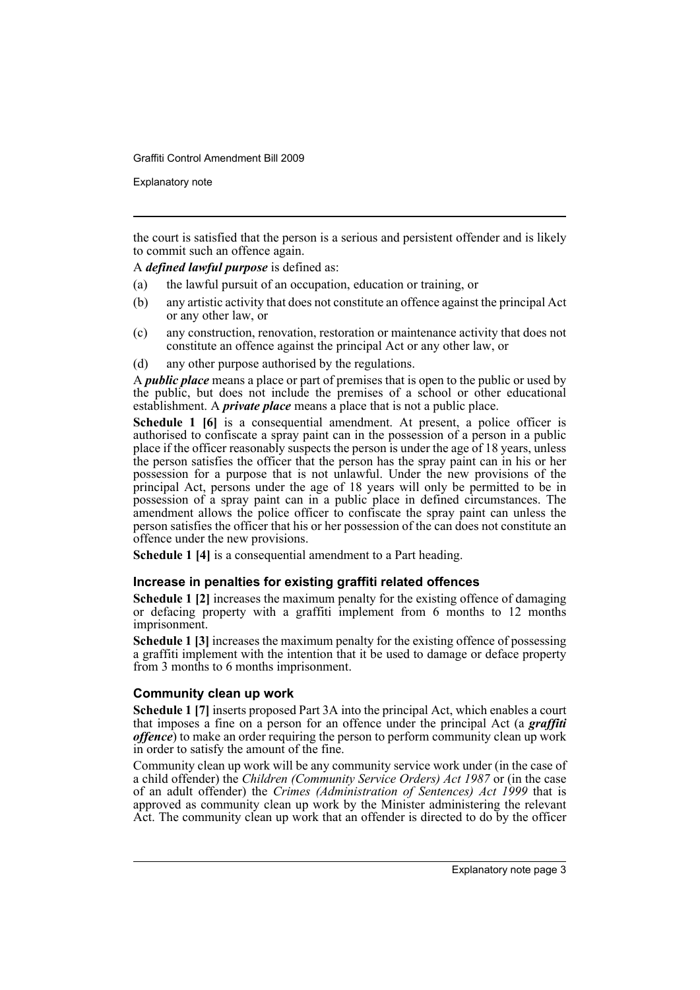Explanatory note

the court is satisfied that the person is a serious and persistent offender and is likely to commit such an offence again.

A *defined lawful purpose* is defined as:

- (a) the lawful pursuit of an occupation, education or training, or
- (b) any artistic activity that does not constitute an offence against the principal Act or any other law, or
- (c) any construction, renovation, restoration or maintenance activity that does not constitute an offence against the principal Act or any other law, or
- (d) any other purpose authorised by the regulations.

A *public place* means a place or part of premises that is open to the public or used by the public, but does not include the premises of a school or other educational establishment. A *private place* means a place that is not a public place.

**Schedule 1 [6]** is a consequential amendment. At present, a police officer is authorised to confiscate a spray paint can in the possession of a person in a public place if the officer reasonably suspects the person is under the age of 18 years, unless the person satisfies the officer that the person has the spray paint can in his or her possession for a purpose that is not unlawful. Under the new provisions of the principal Act, persons under the age of 18 years will only be permitted to be in possession of a spray paint can in a public place in defined circumstances. The amendment allows the police officer to confiscate the spray paint can unless the person satisfies the officer that his or her possession of the can does not constitute an offence under the new provisions.

**Schedule 1 [4]** is a consequential amendment to a Part heading.

# **Increase in penalties for existing graffiti related offences**

**Schedule 1 [2]** increases the maximum penalty for the existing offence of damaging or defacing property with a graffiti implement from 6 months to 12 months imprisonment.

**Schedule 1 [3]** increases the maximum penalty for the existing offence of possessing a graffiti implement with the intention that it be used to damage or deface property from 3 months to 6 months imprisonment.

# **Community clean up work**

**Schedule 1 [7]** inserts proposed Part 3A into the principal Act, which enables a court that imposes a fine on a person for an offence under the principal Act (a *graffiti offence*) to make an order requiring the person to perform community clean up work in order to satisfy the amount of the fine.

Community clean up work will be any community service work under (in the case of a child offender) the *Children (Community Service Orders) Act 1987* or (in the case of an adult offender) the *Crimes (Administration of Sentences) Act 1999* that is approved as community clean up work by the Minister administering the relevant Act. The community clean up work that an offender is directed to do by the officer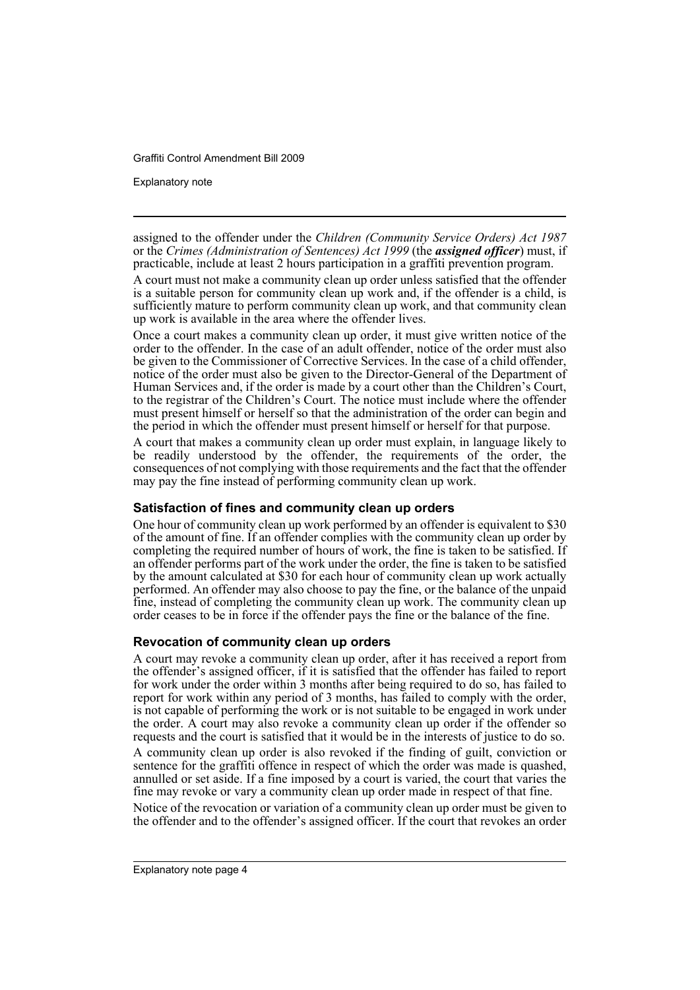Explanatory note

assigned to the offender under the *Children (Community Service Orders) Act 1987* or the *Crimes (Administration of Sentences) Act 1999* (the *assigned officer*) must, if practicable, include at least 2 hours participation in a graffiti prevention program.

A court must not make a community clean up order unless satisfied that the offender is a suitable person for community clean up work and, if the offender is a child, is sufficiently mature to perform community clean up work, and that community clean up work is available in the area where the offender lives.

Once a court makes a community clean up order, it must give written notice of the order to the offender. In the case of an adult offender, notice of the order must also be given to the Commissioner of Corrective Services. In the case of a child offender, notice of the order must also be given to the Director-General of the Department of Human Services and, if the order is made by a court other than the Children's Court, to the registrar of the Children's Court. The notice must include where the offender must present himself or herself so that the administration of the order can begin and the period in which the offender must present himself or herself for that purpose.

A court that makes a community clean up order must explain, in language likely to be readily understood by the offender, the requirements of the order, the consequences of not complying with those requirements and the fact that the offender may pay the fine instead of performing community clean up work.

# **Satisfaction of fines and community clean up orders**

One hour of community clean up work performed by an offender is equivalent to \$30 of the amount of fine. If an offender complies with the community clean up order by completing the required number of hours of work, the fine is taken to be satisfied. If an offender performs part of the work under the order, the fine is taken to be satisfied by the amount calculated at \$30 for each hour of community clean up work actually performed. An offender may also choose to pay the fine, or the balance of the unpaid fine, instead of completing the community clean up work. The community clean up order ceases to be in force if the offender pays the fine or the balance of the fine.

# **Revocation of community clean up orders**

A court may revoke a community clean up order, after it has received a report from the offender's assigned officer, if it is satisfied that the offender has failed to report for work under the order within 3 months after being required to do so, has failed to report for work within any period of 3 months, has failed to comply with the order, is not capable of performing the work or is not suitable to be engaged in work under the order. A court may also revoke a community clean up order if the offender so requests and the court is satisfied that it would be in the interests of justice to do so.

A community clean up order is also revoked if the finding of guilt, conviction or sentence for the graffiti offence in respect of which the order was made is quashed, annulled or set aside. If a fine imposed by a court is varied, the court that varies the fine may revoke or vary a community clean up order made in respect of that fine.

Notice of the revocation or variation of a community clean up order must be given to the offender and to the offender's assigned officer. If the court that revokes an order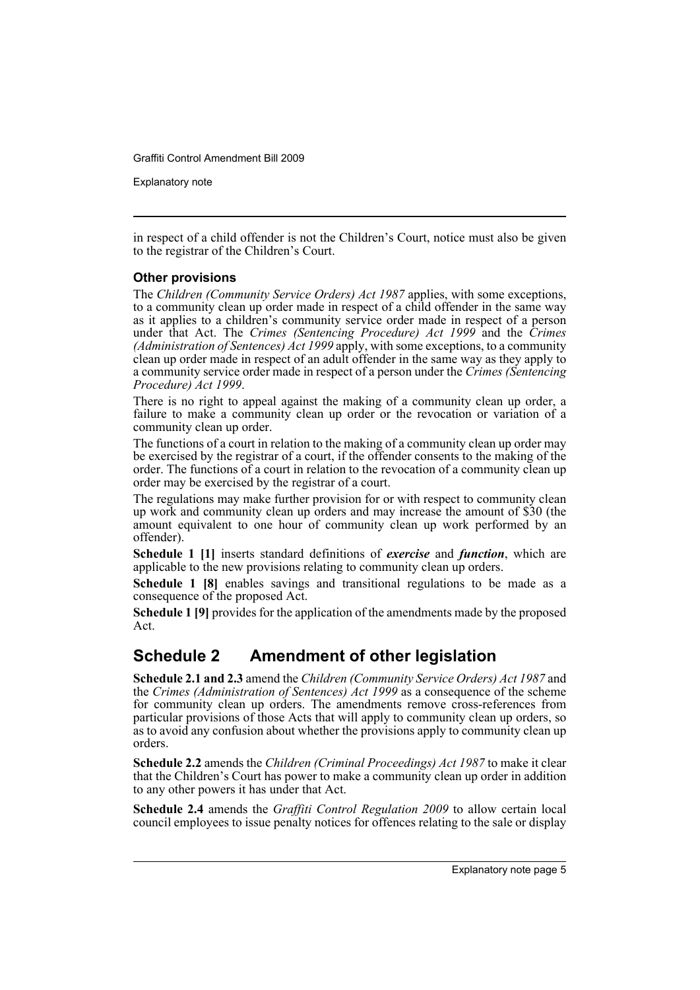Explanatory note

in respect of a child offender is not the Children's Court, notice must also be given to the registrar of the Children's Court.

# **Other provisions**

The *Children (Community Service Orders) Act 1987* applies, with some exceptions, to a community clean up order made in respect of a child offender in the same way as it applies to a children's community service order made in respect of a person under that Act. The *Crimes (Sentencing Procedure) Act 1999* and the *Crimes (Administration of Sentences) Act 1999* apply, with some exceptions, to a community clean up order made in respect of an adult offender in the same way as they apply to a community service order made in respect of a person under the *Crimes (Sentencing Procedure) Act 1999*.

There is no right to appeal against the making of a community clean up order, a failure to make a community clean up order or the revocation or variation of a community clean up order.

The functions of a court in relation to the making of a community clean up order may be exercised by the registrar of a court, if the offender consents to the making of the order. The functions of a court in relation to the revocation of a community clean up order may be exercised by the registrar of a court.

The regulations may make further provision for or with respect to community clean up work and community clean up orders and may increase the amount of \$30 (the amount equivalent to one hour of community clean up work performed by an offender).

**Schedule 1 [1]** inserts standard definitions of *exercise* and *function*, which are applicable to the new provisions relating to community clean up orders.

**Schedule 1 [8]** enables savings and transitional regulations to be made as a consequence of the proposed Act.

**Schedule 1 [9]** provides for the application of the amendments made by the proposed Act.

# **Schedule 2 Amendment of other legislation**

**Schedule 2.1 and 2.3** amend the *Children (Community Service Orders) Act 1987* and the *Crimes (Administration of Sentences) Act 1999* as a consequence of the scheme for community clean up orders. The amendments remove cross-references from particular provisions of those Acts that will apply to community clean up orders, so as to avoid any confusion about whether the provisions apply to community clean up orders.

**Schedule 2.2** amends the *Children (Criminal Proceedings) Act 1987* to make it clear that the Children's Court has power to make a community clean up order in addition to any other powers it has under that Act.

**Schedule 2.4** amends the *Graffiti Control Regulation 2009* to allow certain local council employees to issue penalty notices for offences relating to the sale or display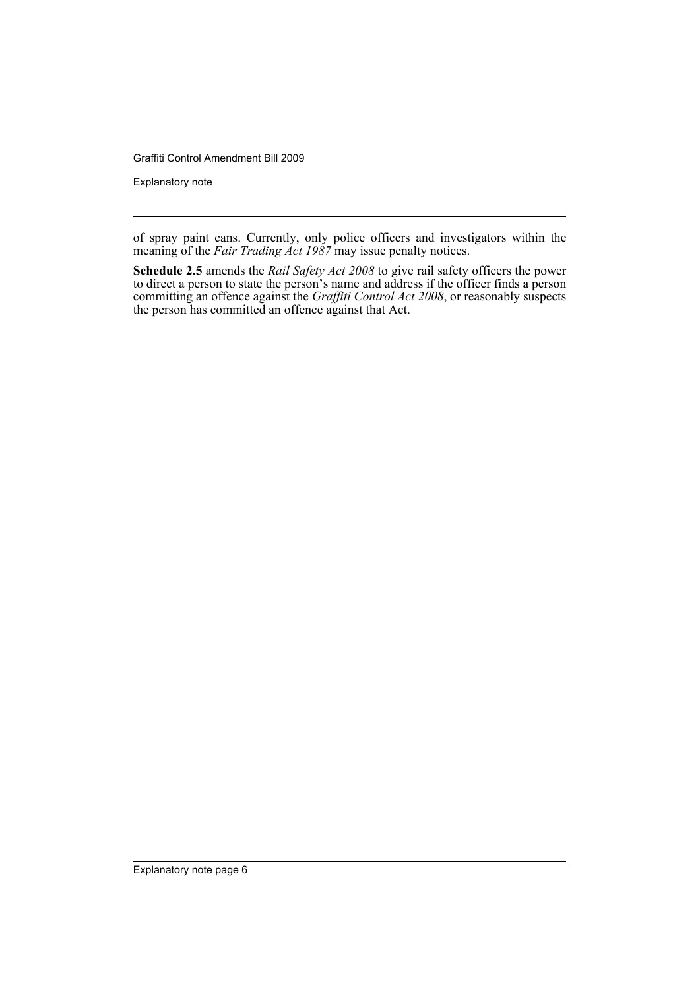Explanatory note

of spray paint cans. Currently, only police officers and investigators within the meaning of the *Fair Trading Act 1987* may issue penalty notices.

**Schedule 2.5** amends the *Rail Safety Act 2008* to give rail safety officers the power to direct a person to state the person's name and address if the officer finds a person committing an offence against the *Graffiti Control Act 2008*, or reasonably suspects the person has committed an offence against that Act.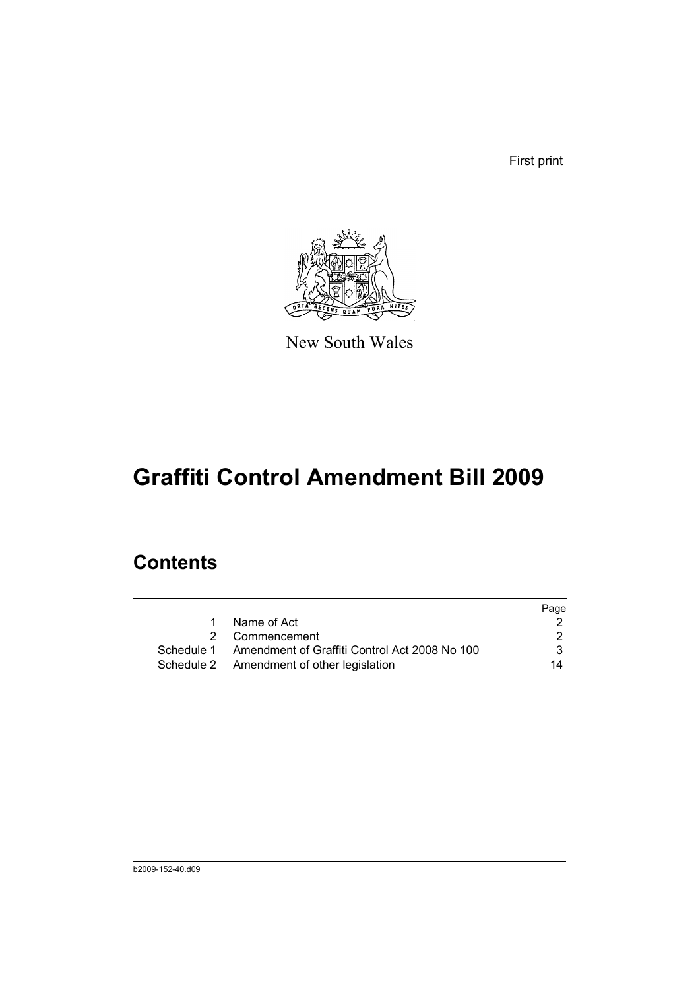First print



New South Wales

# **Graffiti Control Amendment Bill 2009**

# **Contents**

|   |                                                          | Page |
|---|----------------------------------------------------------|------|
| 1 | Name of Act                                              |      |
|   | 2 Commencement                                           |      |
|   | Schedule 1 Amendment of Graffiti Control Act 2008 No 100 | 3    |
|   | Schedule 2 Amendment of other legislation                | 14   |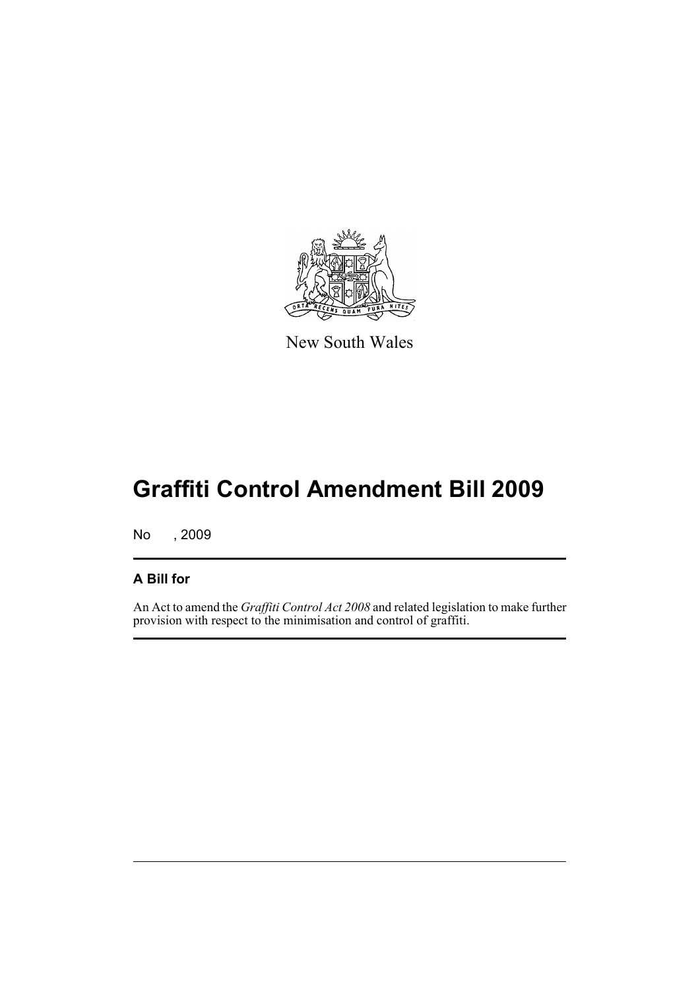

New South Wales

# **Graffiti Control Amendment Bill 2009**

No , 2009

# **A Bill for**

An Act to amend the *Graffiti Control Act 2008* and related legislation to make further provision with respect to the minimisation and control of graffiti.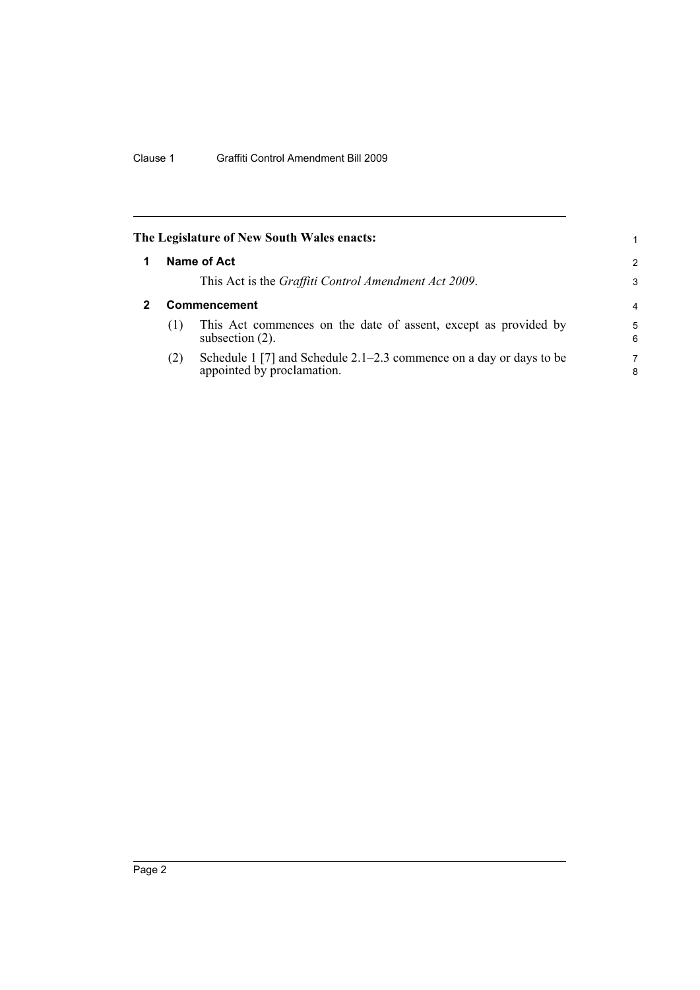<span id="page-9-1"></span><span id="page-9-0"></span>

|              | The Legislature of New South Wales enacts:                                                          | 1             |
|--------------|-----------------------------------------------------------------------------------------------------|---------------|
|              | Name of Act                                                                                         | $\mathcal{P}$ |
|              | This Act is the Graffiti Control Amendment Act 2009.                                                | 3             |
| Commencement |                                                                                                     |               |
| (1)          | This Act commences on the date of assent, except as provided by<br>subsection $(2)$ .               | 5<br>6        |
| (2)          | Schedule 1 [7] and Schedule $2.1-2.3$ commence on a day or days to be<br>appointed by proclamation. | 7<br>8        |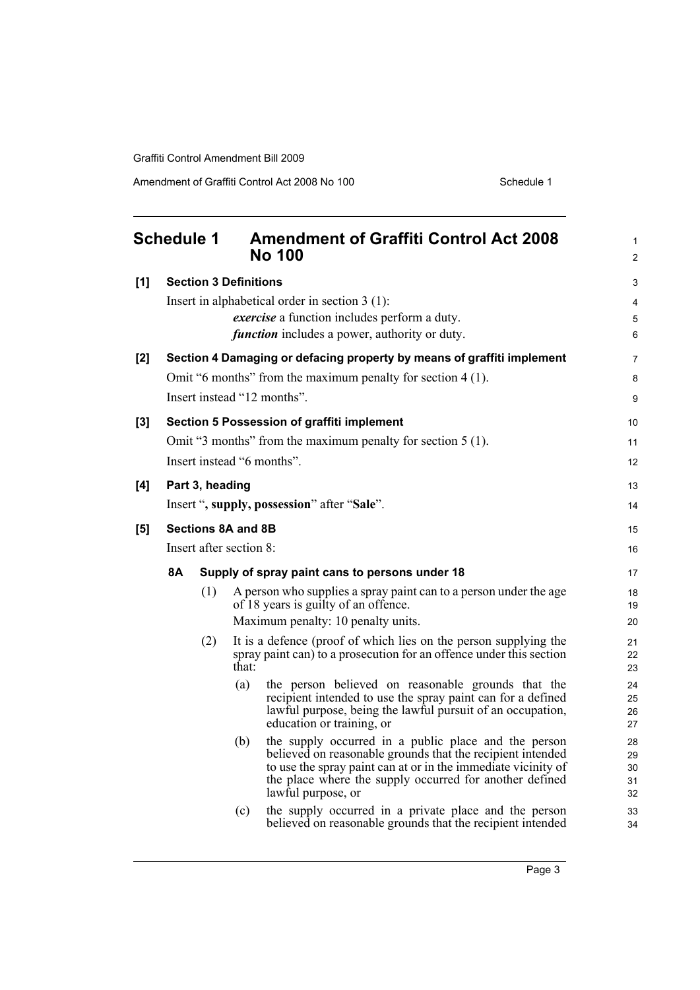Amendment of Graffiti Control Act 2008 No 100 Schedule 1

<span id="page-10-0"></span>

|     | <b>Schedule 1</b> |     |                              | <b>Amendment of Graffiti Control Act 2008</b><br><b>No 100</b>                                                                                                                                                                                                       | 1<br>$\overline{2}$        |
|-----|-------------------|-----|------------------------------|----------------------------------------------------------------------------------------------------------------------------------------------------------------------------------------------------------------------------------------------------------------------|----------------------------|
| [1] |                   |     | <b>Section 3 Definitions</b> |                                                                                                                                                                                                                                                                      | 3                          |
|     |                   |     |                              | Insert in alphabetical order in section $3(1)$ :                                                                                                                                                                                                                     | 4                          |
|     |                   |     |                              | <i>exercise</i> a function includes perform a duty.                                                                                                                                                                                                                  | 5                          |
|     |                   |     |                              | <i>function</i> includes a power, authority or duty.                                                                                                                                                                                                                 | 6                          |
| [2] |                   |     |                              | Section 4 Damaging or defacing property by means of graffiti implement                                                                                                                                                                                               | $\overline{7}$             |
|     |                   |     |                              | Omit "6 months" from the maximum penalty for section 4 (1).                                                                                                                                                                                                          | 8                          |
|     |                   |     |                              | Insert instead "12 months".                                                                                                                                                                                                                                          | 9                          |
| [3] |                   |     |                              | Section 5 Possession of graffiti implement                                                                                                                                                                                                                           | 10 <sup>°</sup>            |
|     |                   |     |                              | Omit "3 months" from the maximum penalty for section 5 (1).                                                                                                                                                                                                          | 11                         |
|     |                   |     |                              | Insert instead "6 months".                                                                                                                                                                                                                                           | 12                         |
| [4] | Part 3, heading   |     |                              |                                                                                                                                                                                                                                                                      | 13                         |
|     |                   |     |                              | Insert ", supply, possession" after "Sale".                                                                                                                                                                                                                          | 14                         |
| [5] |                   |     | <b>Sections 8A and 8B</b>    |                                                                                                                                                                                                                                                                      | 15                         |
|     |                   |     | Insert after section 8:      |                                                                                                                                                                                                                                                                      | 16                         |
|     | 8A                |     |                              | Supply of spray paint cans to persons under 18                                                                                                                                                                                                                       | 17                         |
|     |                   | (1) |                              | A person who supplies a spray paint can to a person under the age                                                                                                                                                                                                    | 18                         |
|     |                   |     |                              | of 18 years is guilty of an offence.<br>Maximum penalty: 10 penalty units.                                                                                                                                                                                           | 19<br>20                   |
|     |                   | (2) |                              | It is a defence (proof of which lies on the person supplying the                                                                                                                                                                                                     | 21                         |
|     |                   |     | that:                        | spray paint can) to a prosecution for an offence under this section                                                                                                                                                                                                  | 22<br>23                   |
|     |                   |     | (a)                          | the person believed on reasonable grounds that the<br>recipient intended to use the spray paint can for a defined<br>lawful purpose, being the lawful pursuit of an occupation,<br>education or training, or                                                         | 24<br>25<br>26<br>27       |
|     |                   |     | (b)                          | the supply occurred in a public place and the person<br>believed on reasonable grounds that the recipient intended<br>to use the spray paint can at or in the immediate vicinity of<br>the place where the supply occurred for another defined<br>lawful purpose, or | 28<br>29<br>30<br>31<br>32 |
|     |                   |     | (c)                          | the supply occurred in a private place and the person<br>believed on reasonable grounds that the recipient intended                                                                                                                                                  | 33<br>34                   |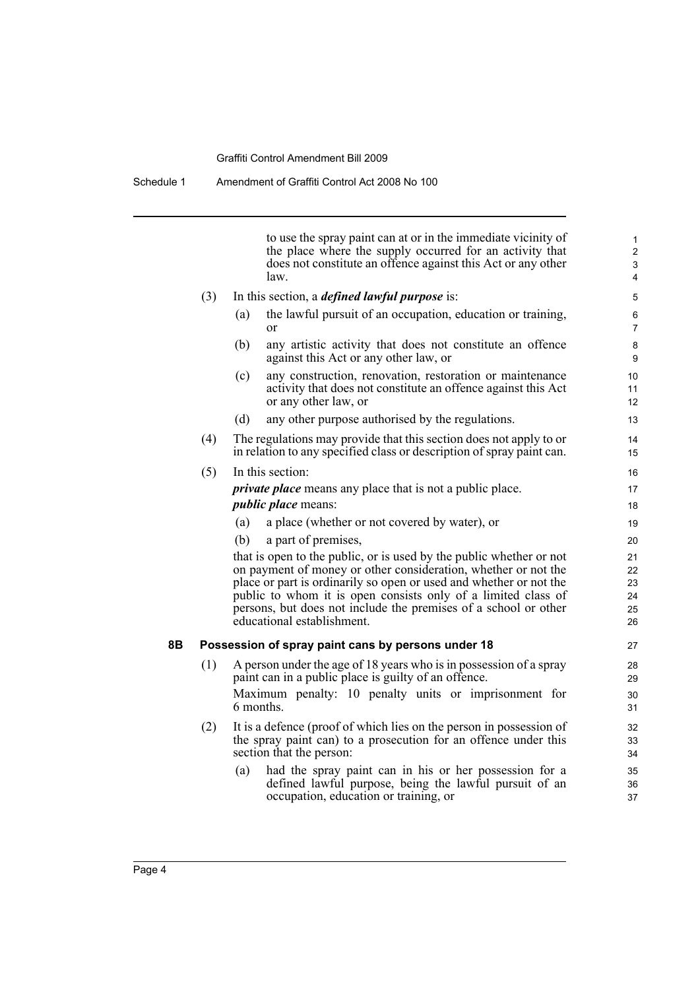Schedule 1 Amendment of Graffiti Control Act 2008 No 100

to use the spray paint can at or in the immediate vicinity of the place where the supply occurred for an activity that does not constitute an offence against this Act or any other law.

| (3) | In this section, a <i>defined lawful purpose</i> is: |  |
|-----|------------------------------------------------------|--|
|     |                                                      |  |

- (a) the lawful pursuit of an occupation, education or training, or
- (b) any artistic activity that does not constitute an offence against this Act or any other law, or
- (c) any construction, renovation, restoration or maintenance activity that does not constitute an offence against this Act or any other law, or
- (d) any other purpose authorised by the regulations.
- (4) The regulations may provide that this section does not apply to or in relation to any specified class or description of spray paint can.

# (5) In this section: *private place* means any place that is not a public place.

### *public place* means:

- (a) a place (whether or not covered by water), or
- (b) a part of premises,

that is open to the public, or is used by the public whether or not on payment of money or other consideration, whether or not the place or part is ordinarily so open or used and whether or not the public to whom it is open consists only of a limited class of persons, but does not include the premises of a school or other educational establishment.

### **8B Possession of spray paint cans by persons under 18**

- (1) A person under the age of 18 years who is in possession of a spray paint can in a public place is guilty of an offence. Maximum penalty: 10 penalty units or imprisonment for 6 months.
- (2) It is a defence (proof of which lies on the person in possession of the spray paint can) to a prosecution for an offence under this section that the person:
	- (a) had the spray paint can in his or her possession for a defined lawful purpose, being the lawful pursuit of an occupation, education or training, or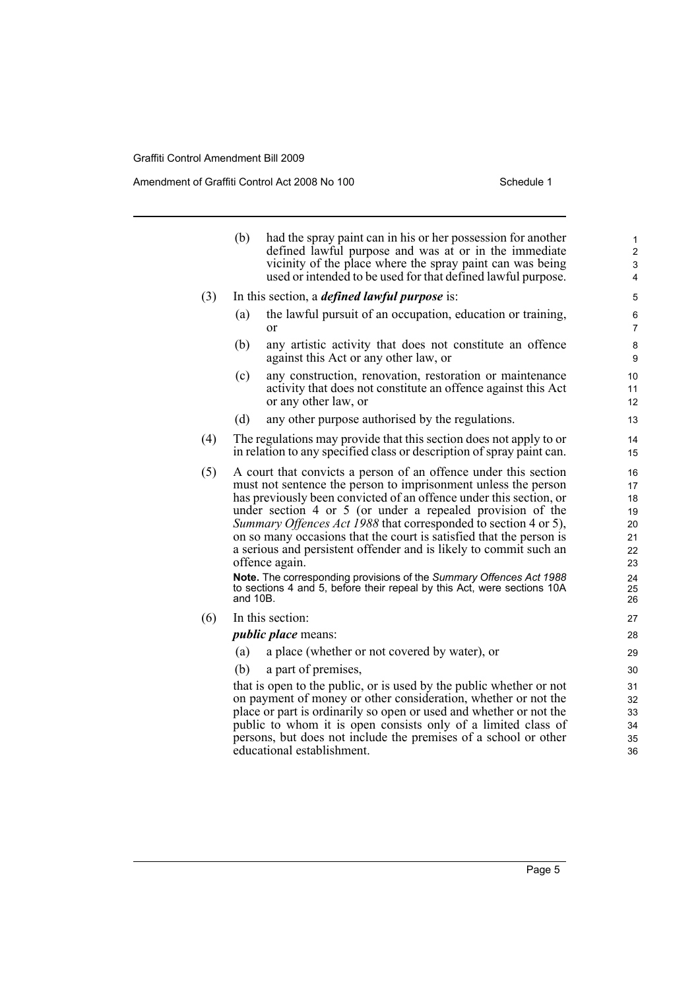Amendment of Graffiti Control Act 2008 No 100 Schedule 1

|     | (b)      | had the spray paint can in his or her possession for another<br>defined lawful purpose and was at or in the immediate<br>vicinity of the place where the spray paint can was being<br>used or intended to be used for that defined lawful purpose.                                                                                                                                                                                                                                                     | 1<br>$\boldsymbol{2}$<br>3<br>4              |
|-----|----------|--------------------------------------------------------------------------------------------------------------------------------------------------------------------------------------------------------------------------------------------------------------------------------------------------------------------------------------------------------------------------------------------------------------------------------------------------------------------------------------------------------|----------------------------------------------|
| (3) |          | In this section, a <i>defined lawful purpose</i> is:                                                                                                                                                                                                                                                                                                                                                                                                                                                   | 5                                            |
|     | (a)      | the lawful pursuit of an occupation, education or training,<br><sub>or</sub>                                                                                                                                                                                                                                                                                                                                                                                                                           | 6<br>$\overline{7}$                          |
|     | (b)      | any artistic activity that does not constitute an offence<br>against this Act or any other law, or                                                                                                                                                                                                                                                                                                                                                                                                     | 8<br>9                                       |
|     | (c)      | any construction, renovation, restoration or maintenance<br>activity that does not constitute an offence against this Act<br>or any other law, or                                                                                                                                                                                                                                                                                                                                                      | 10<br>11<br>12                               |
|     | (d)      | any other purpose authorised by the regulations.                                                                                                                                                                                                                                                                                                                                                                                                                                                       | 13                                           |
| (4) |          | The regulations may provide that this section does not apply to or<br>in relation to any specified class or description of spray paint can.                                                                                                                                                                                                                                                                                                                                                            | 14<br>15                                     |
| (5) |          | A court that convicts a person of an offence under this section<br>must not sentence the person to imprisonment unless the person<br>has previously been convicted of an offence under this section, or<br>under section 4 or 5 (or under a repealed provision of the<br>Summary Offences Act 1988 that corresponded to section 4 or 5),<br>on so many occasions that the court is satisfied that the person is<br>a serious and persistent offender and is likely to commit such an<br>offence again. | 16<br>17<br>18<br>19<br>20<br>21<br>22<br>23 |
|     | and 10B. | Note. The corresponding provisions of the Summary Offences Act 1988<br>to sections 4 and 5, before their repeal by this Act, were sections 10A                                                                                                                                                                                                                                                                                                                                                         | 24<br>25<br>26                               |
| (6) |          | In this section:                                                                                                                                                                                                                                                                                                                                                                                                                                                                                       | 27                                           |
|     |          | <i>public place</i> means:                                                                                                                                                                                                                                                                                                                                                                                                                                                                             | 28                                           |
|     | (a)      | a place (whether or not covered by water), or                                                                                                                                                                                                                                                                                                                                                                                                                                                          | 29                                           |
|     | (b)      | a part of premises,                                                                                                                                                                                                                                                                                                                                                                                                                                                                                    | 30                                           |
|     |          | that is open to the public, or is used by the public whether or not<br>on payment of money or other consideration, whether or not the<br>place or part is ordinarily so open or used and whether or not the<br>public to whom it is open consists only of a limited class of<br>persons, but does not include the premises of a school or other<br>educational establishment.                                                                                                                          | 31<br>32<br>33<br>34<br>35<br>36             |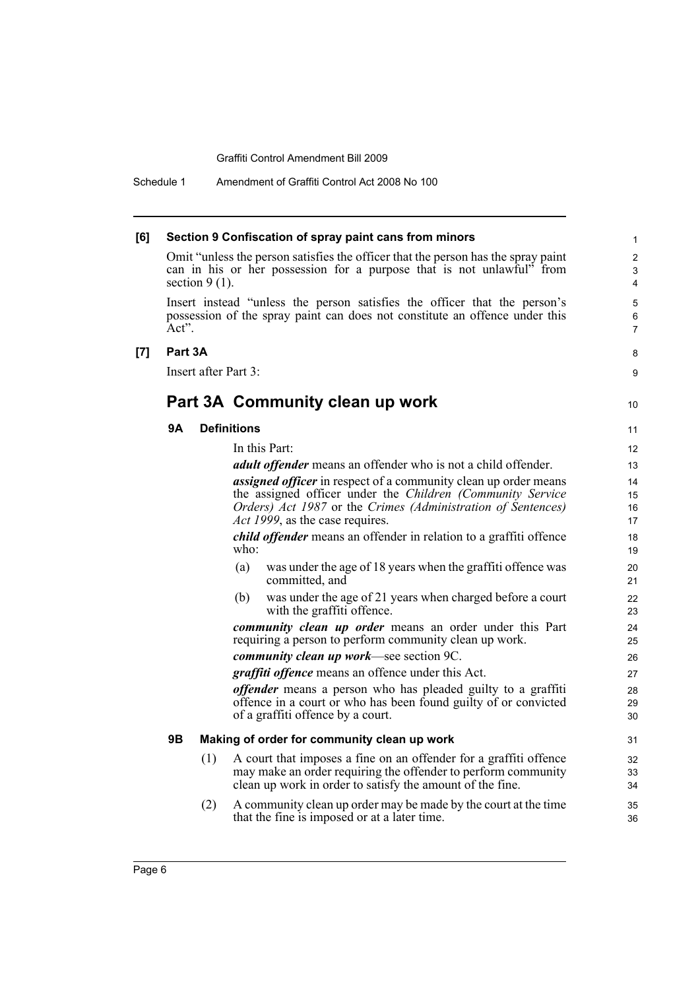Schedule 1 Amendment of Graffiti Control Act 2008 No 100

| [6] |                  |     | Section 9 Confiscation of spray paint cans from minors                                                                                                                                                                                  | $\mathbf{1}$             |
|-----|------------------|-----|-----------------------------------------------------------------------------------------------------------------------------------------------------------------------------------------------------------------------------------------|--------------------------|
|     | section $9(1)$ . |     | Omit "unless the person satisfies the officer that the person has the spray paint<br>can in his or her possession for a purpose that is not unlawful" from                                                                              | $\overline{2}$<br>3<br>4 |
|     | Act".            |     | Insert instead "unless the person satisfies the officer that the person's<br>possession of the spray paint can does not constitute an offence under this                                                                                | 5<br>6<br>7              |
| [7] | Part 3A          |     |                                                                                                                                                                                                                                         | 8                        |
|     |                  |     | Insert after Part 3:                                                                                                                                                                                                                    | 9                        |
|     |                  |     | Part 3A Community clean up work                                                                                                                                                                                                         | 10                       |
|     | 9Α               |     | <b>Definitions</b>                                                                                                                                                                                                                      | 11                       |
|     |                  |     | In this Part:                                                                                                                                                                                                                           | 12                       |
|     |                  |     | <i>adult offender</i> means an offender who is not a child offender.                                                                                                                                                                    | 13                       |
|     |                  |     | <i>assigned officer</i> in respect of a community clean up order means<br>the assigned officer under the Children (Community Service<br>Orders) Act 1987 or the Crimes (Administration of Sentences)<br>Act 1999, as the case requires. | 14<br>15<br>16<br>17     |
|     |                  |     | <i>child offender</i> means an offender in relation to a graffiti offence<br>who:                                                                                                                                                       | 18<br>19                 |
|     |                  |     | was under the age of 18 years when the graffiti offence was<br>(a)<br>committed, and                                                                                                                                                    | 20<br>21                 |
|     |                  |     | was under the age of 21 years when charged before a court<br>(b)<br>with the graffiti offence.                                                                                                                                          | 22<br>23                 |
|     |                  |     | <i>community clean up order</i> means an order under this Part<br>requiring a person to perform community clean up work.                                                                                                                | 24<br>25                 |
|     |                  |     | <i>community clean up work</i> —see section 9C.                                                                                                                                                                                         | 26                       |
|     |                  |     | <i>graffiti offence</i> means an offence under this Act.                                                                                                                                                                                | 27                       |
|     |                  |     | <i>offender</i> means a person who has pleaded guilty to a graffiti<br>offence in a court or who has been found guilty of or convicted<br>of a graffiti offence by a court.                                                             | 28<br>29<br>30           |
|     | 9B               |     | Making of order for community clean up work                                                                                                                                                                                             | 31                       |
|     |                  | (1) | A court that imposes a fine on an offender for a graffiti offence<br>may make an order requiring the offender to perform community<br>clean up work in order to satisfy the amount of the fine.                                         | 32<br>33<br>34           |
|     |                  | (2) | A community clean up order may be made by the court at the time<br>that the fine is imposed or at a later time.                                                                                                                         | 35<br>36                 |
|     |                  |     |                                                                                                                                                                                                                                         |                          |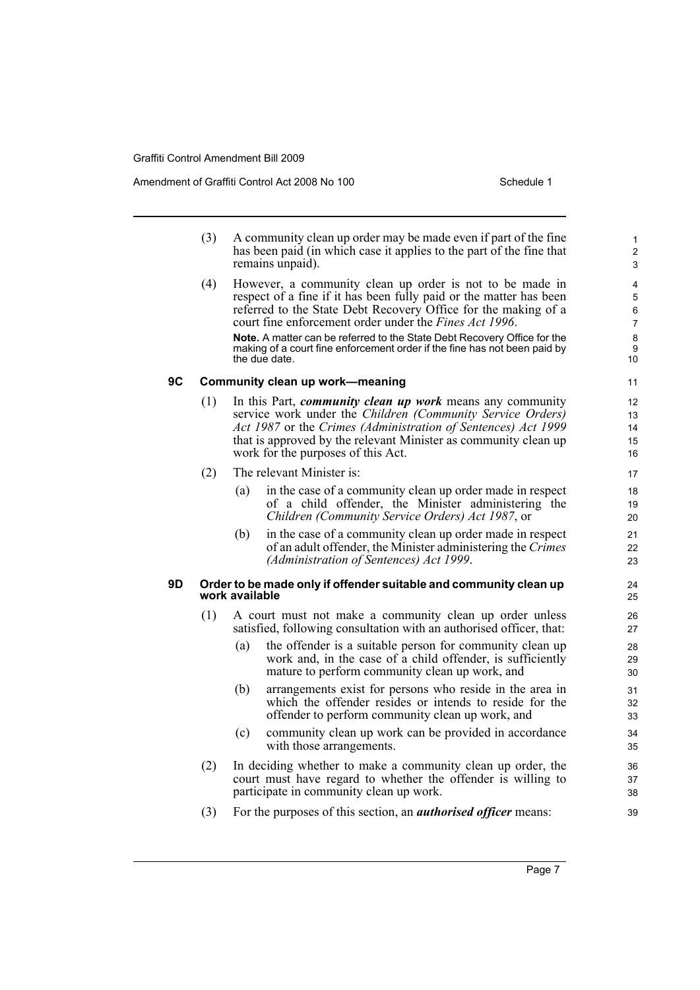Amendment of Graffiti Control Act 2008 No 100 Schedule 1

- (3) A community clean up order may be made even if part of the fine has been paid (in which case it applies to the part of the fine that remains unpaid).
- (4) However, a community clean up order is not to be made in respect of a fine if it has been fully paid or the matter has been referred to the State Debt Recovery Office for the making of a court fine enforcement order under the *Fines Act 1996*. **Note.** A matter can be referred to the State Debt Recovery Office for the making of a court fine enforcement order if the fine has not been paid by the due date.

## **9C Community clean up work—meaning**

- (1) In this Part, *community clean up work* means any community service work under the *Children (Community Service Orders) Act 1987* or the *Crimes (Administration of Sentences) Act 1999* that is approved by the relevant Minister as community clean up work for the purposes of this Act.
- (2) The relevant Minister is:
	- (a) in the case of a community clean up order made in respect of a child offender, the Minister administering the *Children (Community Service Orders) Act 1987*, or
	- (b) in the case of a community clean up order made in respect of an adult offender, the Minister administering the *Crimes (Administration of Sentences) Act 1999*.

### **9D Order to be made only if offender suitable and community clean up work available**

- (1) A court must not make a community clean up order unless satisfied, following consultation with an authorised officer, that:
	- (a) the offender is a suitable person for community clean up work and, in the case of a child offender, is sufficiently mature to perform community clean up work, and
	- (b) arrangements exist for persons who reside in the area in which the offender resides or intends to reside for the offender to perform community clean up work, and
	- (c) community clean up work can be provided in accordance with those arrangements.
- (2) In deciding whether to make a community clean up order, the court must have regard to whether the offender is willing to participate in community clean up work.
- (3) For the purposes of this section, an *authorised officer* means: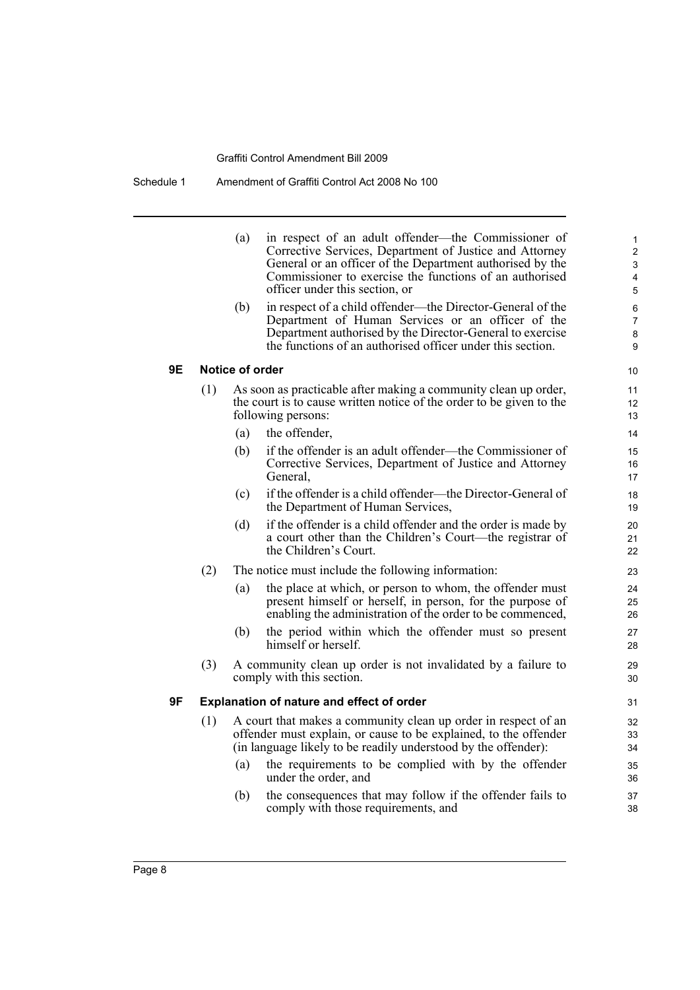|    |     | (a)             | in respect of an adult offender—the Commissioner of<br>Corrective Services, Department of Justice and Attorney<br>General or an officer of the Department authorised by the<br>Commissioner to exercise the functions of an authorised<br>officer under this section, or | 1<br>2<br>3<br>4<br>5         |
|----|-----|-----------------|--------------------------------------------------------------------------------------------------------------------------------------------------------------------------------------------------------------------------------------------------------------------------|-------------------------------|
|    |     | (b)             | in respect of a child offender—the Director-General of the<br>Department of Human Services or an officer of the<br>Department authorised by the Director-General to exercise<br>the functions of an authorised officer under this section.                               | 6<br>$\overline{7}$<br>8<br>9 |
| 9Ε |     | Notice of order |                                                                                                                                                                                                                                                                          | 10                            |
|    | (1) |                 | As soon as practicable after making a community clean up order,<br>the court is to cause written notice of the order to be given to the<br>following persons:                                                                                                            | 11<br>12<br>13                |
|    |     | (a)             | the offender,                                                                                                                                                                                                                                                            | 14                            |
|    |     | (b)             | if the offender is an adult offender—the Commissioner of<br>Corrective Services, Department of Justice and Attorney<br>General.                                                                                                                                          | 15<br>16<br>17                |
|    |     | (c)             | if the offender is a child offender—the Director-General of<br>the Department of Human Services,                                                                                                                                                                         | 18<br>19                      |
|    |     | (d)             | if the offender is a child offender and the order is made by<br>a court other than the Children's Court—the registrar of<br>the Children's Court.                                                                                                                        | 20<br>21<br>22                |
|    | (2) |                 | The notice must include the following information:                                                                                                                                                                                                                       | 23                            |
|    |     | (a)             | the place at which, or person to whom, the offender must<br>present himself or herself, in person, for the purpose of<br>enabling the administration of the order to be commenced,                                                                                       | 24<br>25<br>26                |
|    |     | (b)             | the period within which the offender must so present<br>himself or herself                                                                                                                                                                                               | 27<br>28                      |
|    | (3) |                 | A community clean up order is not invalidated by a failure to<br>comply with this section.                                                                                                                                                                               | 29<br>30                      |
| 9F |     |                 | <b>Explanation of nature and effect of order</b>                                                                                                                                                                                                                         | 31                            |
|    | (1) |                 | A court that makes a community clean up order in respect of an<br>offender must explain, or cause to be explained, to the offender<br>(in language likely to be readily understood by the offender):                                                                     | 32<br>33<br>34                |
|    |     | (a)             | the requirements to be complied with by the offender<br>under the order, and                                                                                                                                                                                             | 35<br>36                      |
|    |     | (b)             | the consequences that may follow if the offender fails to<br>comply with those requirements, and                                                                                                                                                                         | 37<br>38                      |
|    |     |                 |                                                                                                                                                                                                                                                                          |                               |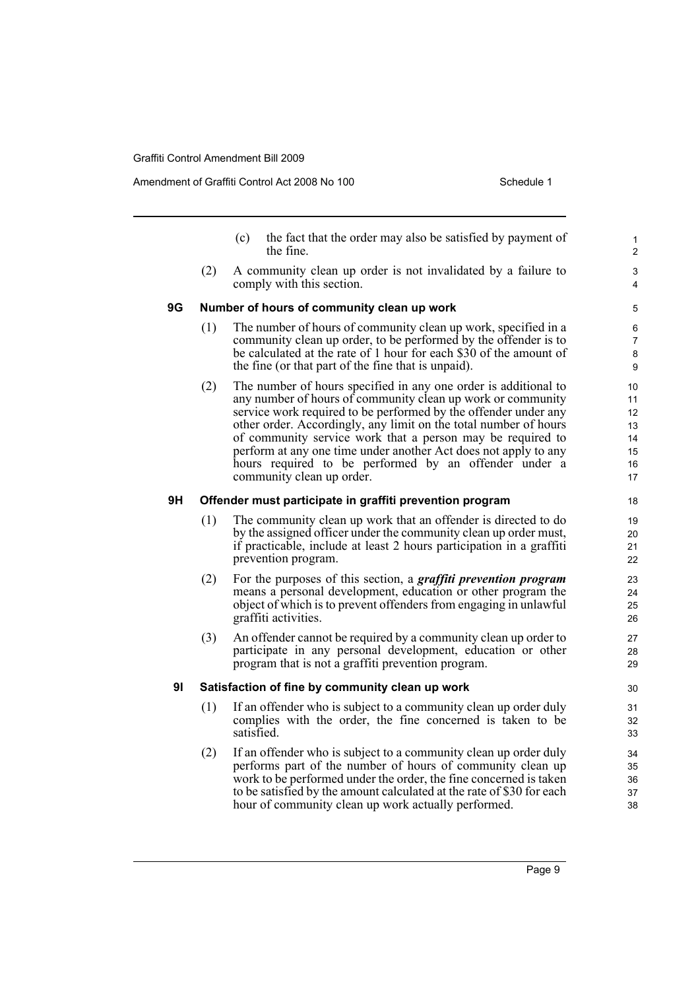Amendment of Graffiti Control Act 2008 No 100 Schedule 1

|                |     | (c)        | the fact that the order may also be satisfied by payment of<br>the fine                                                                                                                                                                                                                                                                                                                                                                                                                      | 1<br>$\overline{2}$                          |
|----------------|-----|------------|----------------------------------------------------------------------------------------------------------------------------------------------------------------------------------------------------------------------------------------------------------------------------------------------------------------------------------------------------------------------------------------------------------------------------------------------------------------------------------------------|----------------------------------------------|
|                | (2) |            | A community clean up order is not invalidated by a failure to<br>comply with this section.                                                                                                                                                                                                                                                                                                                                                                                                   | 3<br>4                                       |
| 9G             |     |            | Number of hours of community clean up work                                                                                                                                                                                                                                                                                                                                                                                                                                                   | $\mathbf 5$                                  |
|                | (1) |            | The number of hours of community clean up work, specified in a<br>community clean up order, to be performed by the offender is to<br>be calculated at the rate of 1 hour for each \$30 of the amount of<br>the fine (or that part of the fine that is unpaid).                                                                                                                                                                                                                               | 6<br>$\overline{7}$<br>$\bf 8$<br>9          |
|                | (2) |            | The number of hours specified in any one order is additional to<br>any number of hours of community clean up work or community<br>service work required to be performed by the offender under any<br>other order. Accordingly, any limit on the total number of hours<br>of community service work that a person may be required to<br>perform at any one time under another Act does not apply to any<br>hours required to be performed by an offender under a<br>community clean up order. | 10<br>11<br>12<br>13<br>14<br>15<br>16<br>17 |
| 9Η             |     |            | Offender must participate in graffiti prevention program                                                                                                                                                                                                                                                                                                                                                                                                                                     | 18                                           |
|                | (1) |            | The community clean up work that an offender is directed to do<br>by the assigned officer under the community clean up order must,<br>if practicable, include at least 2 hours participation in a graffiti<br>prevention program.                                                                                                                                                                                                                                                            | 19<br>20<br>21<br>22                         |
|                | (2) |            | For the purposes of this section, a <i>graffiti prevention program</i><br>means a personal development, education or other program the<br>object of which is to prevent offenders from engaging in unlawful<br>graffiti activities.                                                                                                                                                                                                                                                          | 23<br>24<br>25<br>26                         |
|                | (3) |            | An offender cannot be required by a community clean up order to<br>participate in any personal development, education or other<br>program that is not a graffiti prevention program.                                                                                                                                                                                                                                                                                                         | 27<br>28<br>29                               |
| 9 <sub>l</sub> |     |            | Satisfaction of fine by community clean up work                                                                                                                                                                                                                                                                                                                                                                                                                                              | 30                                           |
|                | (1) | satisfied. | If an offender who is subject to a community clean up order duly<br>complies with the order, the fine concerned is taken to be                                                                                                                                                                                                                                                                                                                                                               | 31<br>32<br>33                               |
|                | (2) |            | If an offender who is subject to a community clean up order duly                                                                                                                                                                                                                                                                                                                                                                                                                             | 34                                           |

(2) If an offender who is subject to a community clean up order duly performs part of the number of hours of community clean up work to be performed under the order, the fine concerned is taken to be satisfied by the amount calculated at the rate of \$30 for each hour of community clean up work actually performed.

Page 9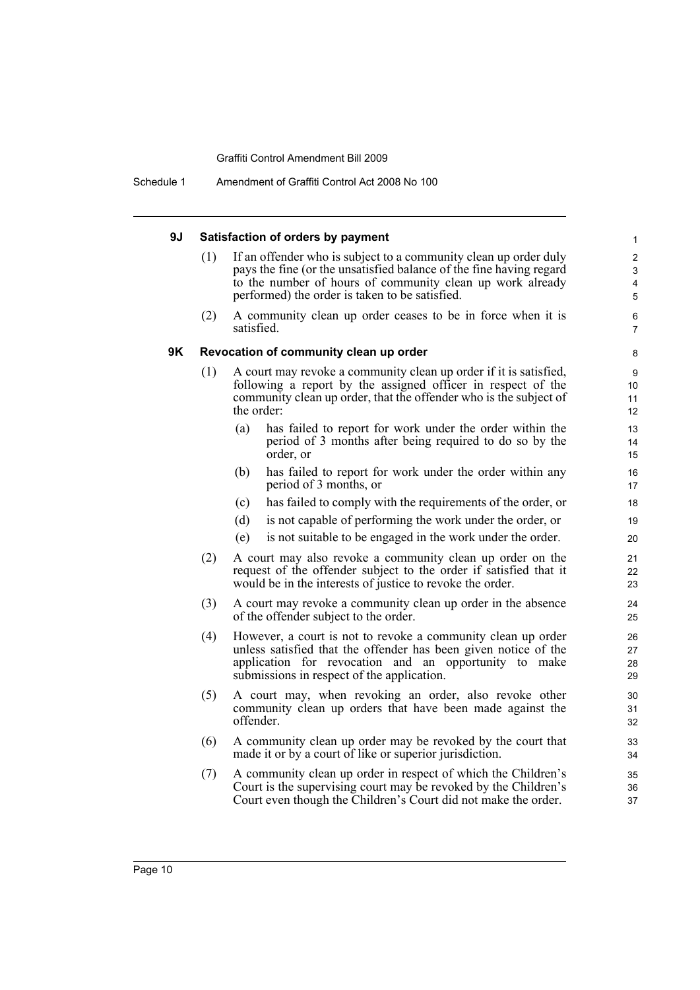Schedule 1 Amendment of Graffiti Control Act 2008 No 100

#### **9J Satisfaction of orders by payment** (1) If an offender who is subject to a community clean up order duly pays the fine (or the unsatisfied balance of the fine having regard to the number of hours of community clean up work already performed) the order is taken to be satisfied. (2) A community clean up order ceases to be in force when it is satisfied. **9K Revocation of community clean up order** (1) A court may revoke a community clean up order if it is satisfied, following a report by the assigned officer in respect of the community clean up order, that the offender who is the subject of the order: (a) has failed to report for work under the order within the period of 3 months after being required to do so by the order, or (b) has failed to report for work under the order within any period of 3 months, or (c) has failed to comply with the requirements of the order, or (d) is not capable of performing the work under the order, or (e) is not suitable to be engaged in the work under the order. (2) A court may also revoke a community clean up order on the request of the offender subject to the order if satisfied that it would be in the interests of justice to revoke the order. (3) A court may revoke a community clean up order in the absence of the offender subject to the order. (4) However, a court is not to revoke a community clean up order unless satisfied that the offender has been given notice of the application for revocation and an opportunity to make submissions in respect of the application. (5) A court may, when revoking an order, also revoke other community clean up orders that have been made against the offender. (6) A community clean up order may be revoked by the court that made it or by a court of like or superior jurisdiction. (7) A community clean up order in respect of which the Children's Court is the supervising court may be revoked by the Children's Court even though the Children's Court did not make the order. 1 2 3 4 5 6 7 8 9 10 11 12 13 14 15 16 17 18 19 20 21 22 23 24 25 26 27 28 29 30 31 32 33 34 35 36 37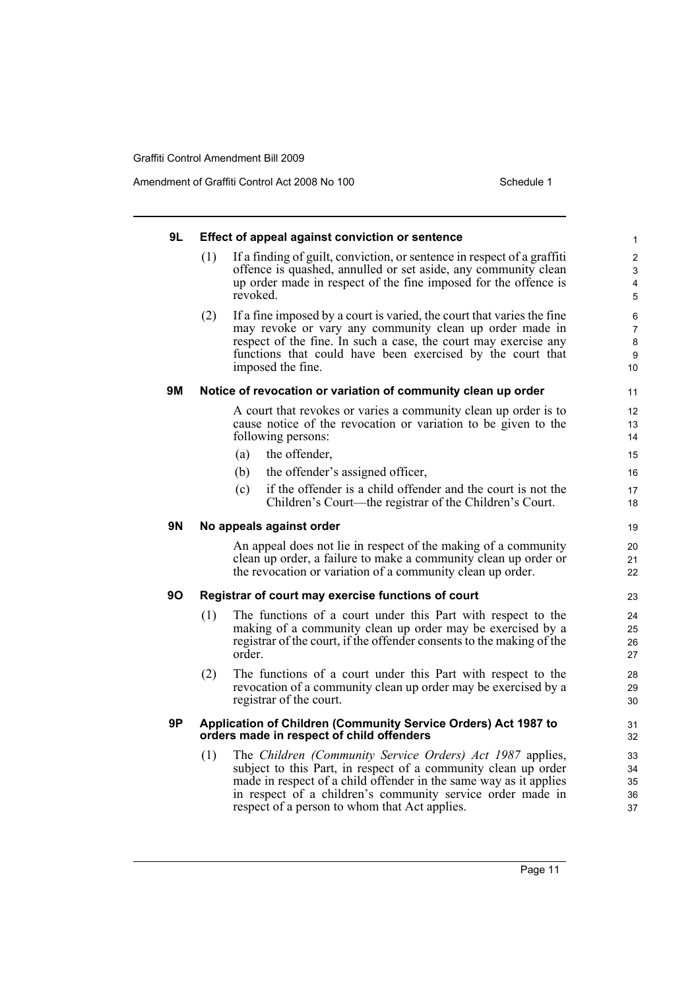Amendment of Graffiti Control Act 2008 No 100 Schedule 1

| 9L        |     | Effect of appeal against conviction or sentence                                                                                                                                                                                                                                                                 | 1                             |
|-----------|-----|-----------------------------------------------------------------------------------------------------------------------------------------------------------------------------------------------------------------------------------------------------------------------------------------------------------------|-------------------------------|
|           | (1) | If a finding of guilt, conviction, or sentence in respect of a graffiti<br>offence is quashed, annulled or set aside, any community clean<br>up order made in respect of the fine imposed for the offence is<br>revoked.                                                                                        | $\overline{2}$<br>3<br>4<br>5 |
|           | (2) | If a fine imposed by a court is varied, the court that varies the fine<br>may revoke or vary any community clean up order made in<br>respect of the fine. In such a case, the court may exercise any<br>functions that could have been exercised by the court that<br>imposed the fine.                         | 6<br>7<br>8<br>9<br>10        |
| <b>9M</b> |     | Notice of revocation or variation of community clean up order                                                                                                                                                                                                                                                   | 11                            |
|           |     | A court that revokes or varies a community clean up order is to<br>cause notice of the revocation or variation to be given to the<br>following persons:                                                                                                                                                         | 12<br>13<br>14                |
|           |     | the offender,<br>(a)                                                                                                                                                                                                                                                                                            | 15                            |
|           |     | the offender's assigned officer,<br>(b)                                                                                                                                                                                                                                                                         | 16                            |
|           |     | if the offender is a child offender and the court is not the<br>(c)<br>Children's Court—the registrar of the Children's Court.                                                                                                                                                                                  | 17<br>18                      |
| 9N        |     | No appeals against order                                                                                                                                                                                                                                                                                        | 19                            |
|           |     | An appeal does not lie in respect of the making of a community<br>clean up order, a failure to make a community clean up order or<br>the revocation or variation of a community clean up order.                                                                                                                 | 20<br>21<br>22                |
| 90        |     | Registrar of court may exercise functions of court                                                                                                                                                                                                                                                              | 23                            |
|           | (1) | The functions of a court under this Part with respect to the<br>making of a community clean up order may be exercised by a<br>registrar of the court, if the offender consents to the making of the<br>order.                                                                                                   | 24<br>25<br>26<br>27          |
|           | (2) | The functions of a court under this Part with respect to the<br>revocation of a community clean up order may be exercised by a<br>registrar of the court.                                                                                                                                                       | 28<br>29<br>30                |
| 9P        |     | Application of Children (Community Service Orders) Act 1987 to<br>orders made in respect of child offenders                                                                                                                                                                                                     | 31<br>32                      |
|           | (1) | The Children (Community Service Orders) Act 1987 applies,<br>subject to this Part, in respect of a community clean up order<br>made in respect of a child offender in the same way as it applies<br>in respect of a children's community service order made in<br>respect of a person to whom that Act applies. | 33<br>34<br>35<br>36<br>37    |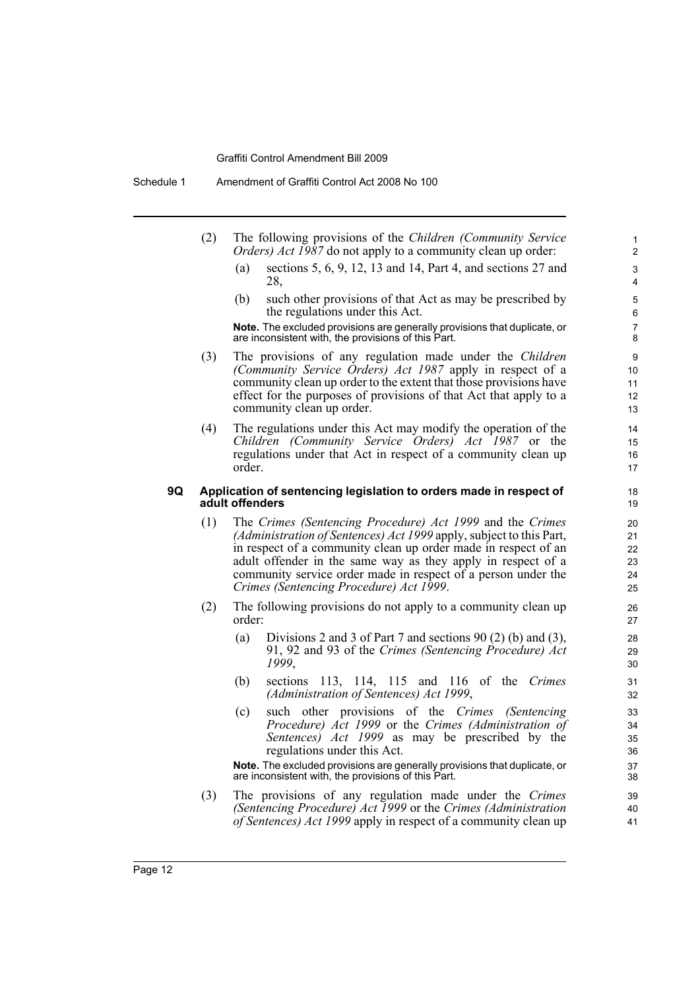Schedule 1 Amendment of Graffiti Control Act 2008 No 100

| (2) | The following provisions of the <i>Children (Community Service</i> ) |
|-----|----------------------------------------------------------------------|
|     | <i>Orders) Act 1987</i> do not apply to a community clean up order:  |

(a) sections 5, 6, 9, 12, 13 and 14, Part 4, and sections 27 and 28,

(b) such other provisions of that Act as may be prescribed by the regulations under this Act.

**Note.** The excluded provisions are generally provisions that duplicate, or are inconsistent with, the provisions of this Part.

- (3) The provisions of any regulation made under the *Children (Community Service Orders) Act 1987* apply in respect of a community clean up order to the extent that those provisions have effect for the purposes of provisions of that Act that apply to a community clean up order.
- (4) The regulations under this Act may modify the operation of the *Children (Community Service Orders) Act 1987* or the regulations under that Act in respect of a community clean up order.

#### **9Q Application of sentencing legislation to orders made in respect of adult offenders**

- (1) The *Crimes (Sentencing Procedure) Act 1999* and the *Crimes (Administration of Sentences) Act 1999* apply, subject to this Part, in respect of a community clean up order made in respect of an adult offender in the same way as they apply in respect of a community service order made in respect of a person under the *Crimes (Sentencing Procedure) Act 1999*.
- (2) The following provisions do not apply to a community clean up order:
	- (a) Divisions 2 and 3 of Part 7 and sections 90 (2) (b) and (3), 91, 92 and 93 of the *Crimes (Sentencing Procedure) Act 1999*,
	- (b) sections 113, 114, 115 and 116 of the *Crimes (Administration of Sentences) Act 1999*,
	- (c) such other provisions of the *Crimes (Sentencing Procedure) Act 1999* or the *Crimes (Administration of Sentences) Act 1999* as may be prescribed by the regulations under this Act.

**Note.** The excluded provisions are generally provisions that duplicate, or are inconsistent with, the provisions of this Part.

(3) The provisions of any regulation made under the *Crimes (Sentencing Procedure) Act 1999* or the *Crimes (Administration of Sentences) Act 1999* apply in respect of a community clean up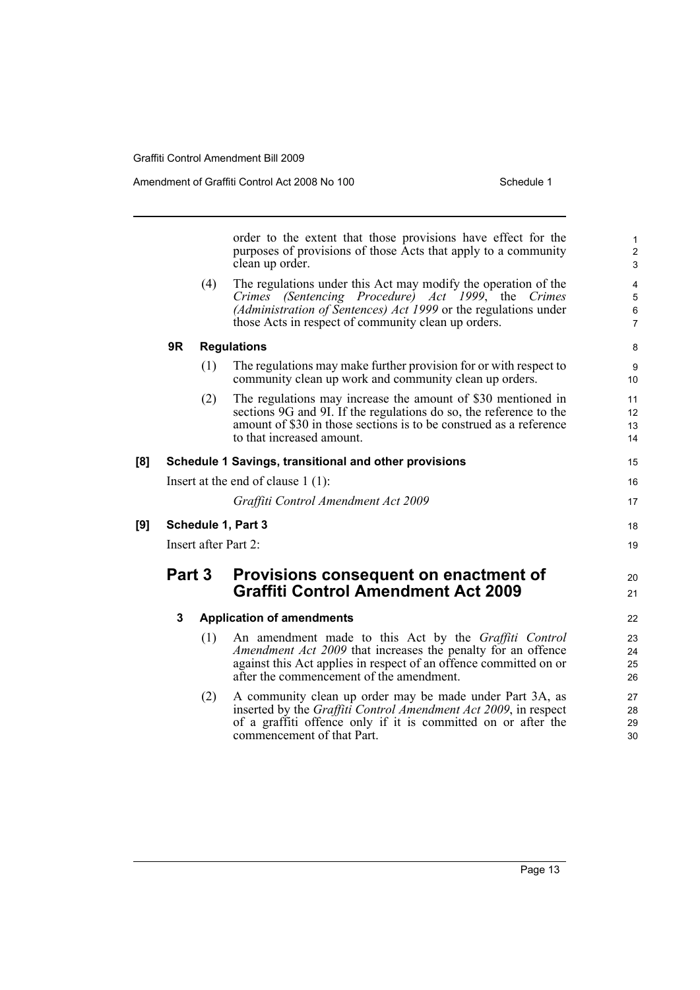Amendment of Graffiti Control Act 2008 No 100 Schedule 1

|     |                      |     | order to the extent that those provisions have effect for the<br>purposes of provisions of those Acts that apply to a community<br>clean up order.                                                                                                | $\mathbf{1}$<br>$\boldsymbol{2}$<br>3 |  |
|-----|----------------------|-----|---------------------------------------------------------------------------------------------------------------------------------------------------------------------------------------------------------------------------------------------------|---------------------------------------|--|
|     |                      | (4) | The regulations under this Act may modify the operation of the<br>Crimes (Sentencing Procedure) Act 1999, the<br>Crimes<br>(Administration of Sentences) Act 1999 or the regulations under<br>those Acts in respect of community clean up orders. | 4<br>5<br>6<br>$\overline{7}$         |  |
|     | 9R                   |     | <b>Regulations</b>                                                                                                                                                                                                                                | 8                                     |  |
|     |                      | (1) | The regulations may make further provision for or with respect to<br>community clean up work and community clean up orders.                                                                                                                       | $\boldsymbol{9}$<br>10                |  |
|     |                      | (2) | The regulations may increase the amount of \$30 mentioned in<br>sections 9G and 9I. If the regulations do so, the reference to the<br>amount of \$30 in those sections is to be construed as a reference<br>to that increased amount.             | 11<br>12<br>13<br>14                  |  |
| [8] |                      |     | Schedule 1 Savings, transitional and other provisions                                                                                                                                                                                             | 15                                    |  |
|     |                      |     | Insert at the end of clause $1(1)$ :                                                                                                                                                                                                              | 16                                    |  |
|     |                      |     | Graffiti Control Amendment Act 2009                                                                                                                                                                                                               | 17                                    |  |
| [9] |                      |     | Schedule 1, Part 3                                                                                                                                                                                                                                | 18                                    |  |
|     | Insert after Part 2: |     |                                                                                                                                                                                                                                                   |                                       |  |
|     | Part 3               |     | Provisions consequent on enactment of                                                                                                                                                                                                             | 20                                    |  |
|     |                      |     | <b>Graffiti Control Amendment Act 2009</b>                                                                                                                                                                                                        | 21                                    |  |
|     | 3                    |     | <b>Application of amendments</b>                                                                                                                                                                                                                  | 22                                    |  |
|     |                      | (1) | An amendment made to this Act by the Graffiti Control<br>Amendment Act 2009 that increases the penalty for an offence<br>against this Act applies in respect of an offence committed on or<br>after the commencement of the amendment.            | 23<br>24<br>25<br>26                  |  |
|     |                      | (2) | A community clean up order may be made under Part 3A, as<br>inserted by the Graffiti Control Amendment Act 2009, in respect<br>of a graffiti offence only if it is committed on or after the<br>commencement of that Part.                        | 27<br>28<br>29<br>30                  |  |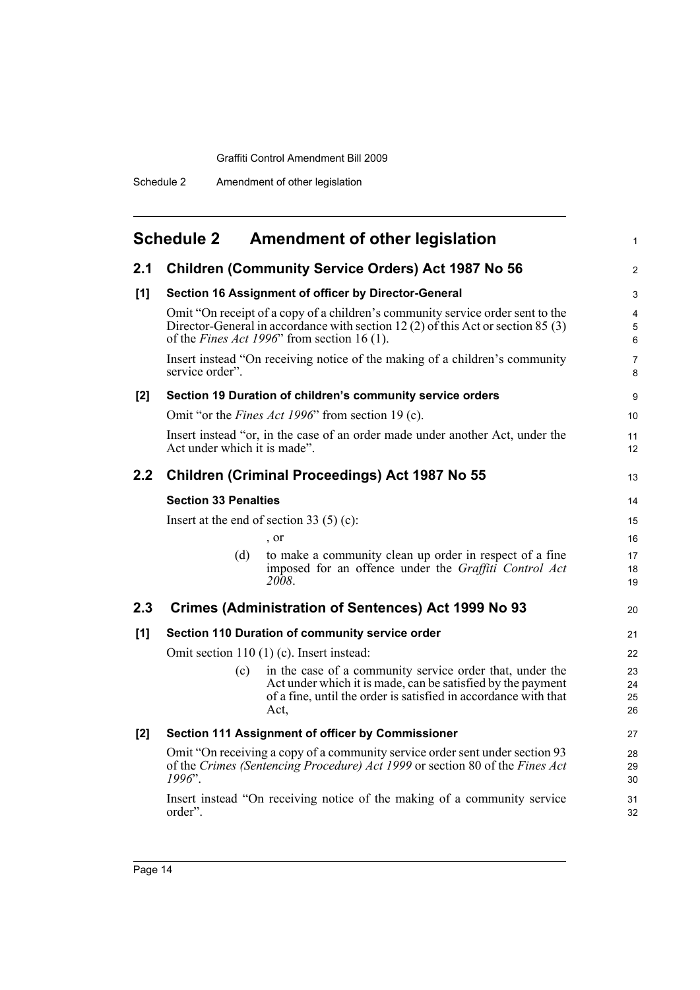<span id="page-21-0"></span>

|     | <b>Schedule 2</b>                                                                                                                                                                                                         | <b>Amendment of other legislation</b>                                                                                                                                                              | $\mathbf{1}$         |  |
|-----|---------------------------------------------------------------------------------------------------------------------------------------------------------------------------------------------------------------------------|----------------------------------------------------------------------------------------------------------------------------------------------------------------------------------------------------|----------------------|--|
| 2.1 | <b>Children (Community Service Orders) Act 1987 No 56</b>                                                                                                                                                                 |                                                                                                                                                                                                    |                      |  |
| [1] | Section 16 Assignment of officer by Director-General                                                                                                                                                                      |                                                                                                                                                                                                    |                      |  |
|     | Omit "On receipt of a copy of a children's community service order sent to the<br>Director-General in accordance with section 12 (2) of this Act or section 85 (3)<br>of the <i>Fines Act 1996</i> " from section 16 (1). |                                                                                                                                                                                                    |                      |  |
|     | service order".                                                                                                                                                                                                           | Insert instead "On receiving notice of the making of a children's community                                                                                                                        | $\overline{7}$<br>8  |  |
| [2] | Section 19 Duration of children's community service orders                                                                                                                                                                |                                                                                                                                                                                                    |                      |  |
|     |                                                                                                                                                                                                                           | Omit "or the <i>Fines Act 1996</i> " from section 19 (c).                                                                                                                                          | 10                   |  |
|     | Act under which it is made".                                                                                                                                                                                              | Insert instead "or, in the case of an order made under another Act, under the                                                                                                                      | 11<br>12             |  |
| 2.2 |                                                                                                                                                                                                                           | Children (Criminal Proceedings) Act 1987 No 55                                                                                                                                                     | 13                   |  |
|     | <b>Section 33 Penalties</b>                                                                                                                                                                                               |                                                                                                                                                                                                    |                      |  |
|     |                                                                                                                                                                                                                           | Insert at the end of section 33 $(5)$ (c):                                                                                                                                                         | 15                   |  |
|     |                                                                                                                                                                                                                           | , or                                                                                                                                                                                               | 16                   |  |
|     | (d)                                                                                                                                                                                                                       | to make a community clean up order in respect of a fine<br>imposed for an offence under the Graffiti Control Act<br>2008.                                                                          | 17<br>18<br>19       |  |
| 2.3 | Crimes (Administration of Sentences) Act 1999 No 93<br>20                                                                                                                                                                 |                                                                                                                                                                                                    |                      |  |
| [1] | Section 110 Duration of community service order                                                                                                                                                                           |                                                                                                                                                                                                    |                      |  |
|     | Omit section $110(1)$ (c). Insert instead:                                                                                                                                                                                |                                                                                                                                                                                                    |                      |  |
|     | (c)                                                                                                                                                                                                                       | in the case of a community service order that, under the<br>Act under which it is made, can be satisfied by the payment<br>of a fine, until the order is satisfied in accordance with that<br>Act, | 23<br>24<br>25<br>26 |  |
| [2] |                                                                                                                                                                                                                           | Section 111 Assignment of officer by Commissioner                                                                                                                                                  | 27                   |  |
|     | Omit "On receiving a copy of a community service order sent under section 93<br>of the Crimes (Sentencing Procedure) Act 1999 or section 80 of the Fines Act<br>1996".                                                    |                                                                                                                                                                                                    |                      |  |
|     | order".                                                                                                                                                                                                                   | Insert instead "On receiving notice of the making of a community service                                                                                                                           | 31<br>32             |  |